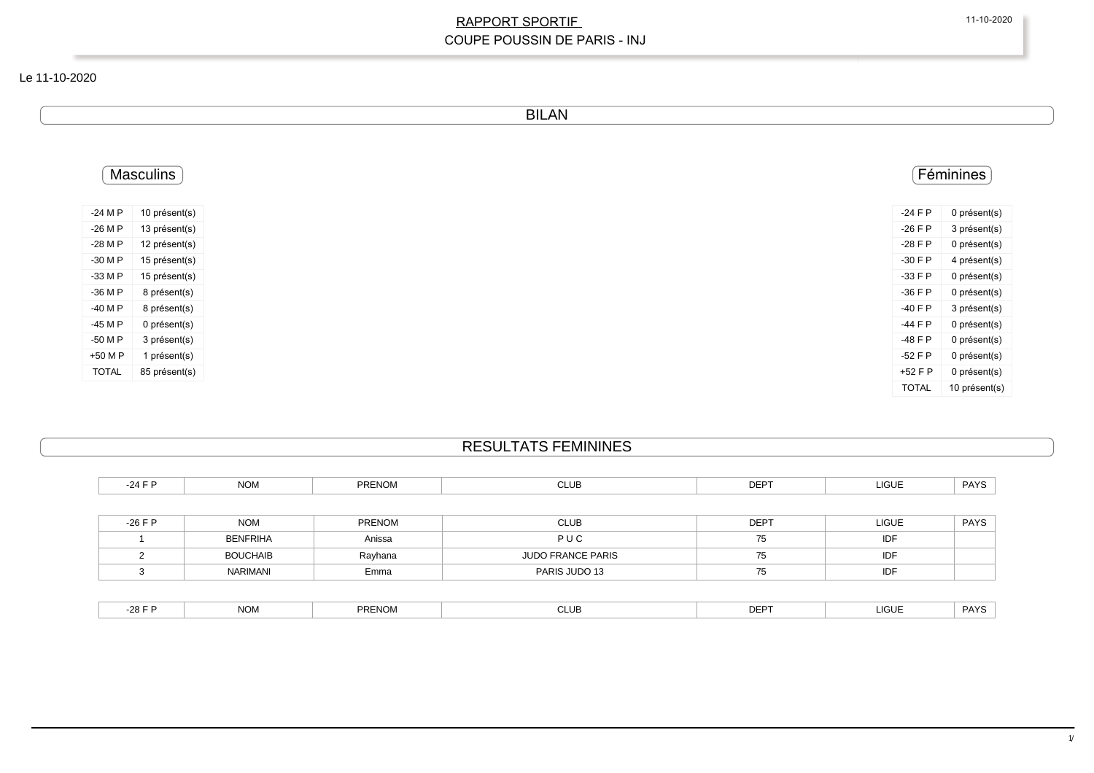#### Le 11-10-2020

BILAN

| <b>Masculins</b> |               | Féminines    |
|------------------|---------------|--------------|
| -24 M P          | 10 présent(s) | $-24$ F P    |
| -26 M P          | 13 présent(s) | $-26$ F P    |
| -28 M P          | 12 présent(s) | $-28$ F P    |
| -30 M P          | 15 présent(s) | $-30$ F P    |
| -33 M P          | 15 présent(s) | $-33 F P$    |
|                  | 8 présent(s)  | $-36$ F P    |
|                  | 8 présent(s)  | $-40$ F P    |
|                  | 0 présent(s)  | -44 F P      |
|                  | 3 présent(s)  | -48 F P      |
|                  | 1 présent(s)  | $-52$ F P    |
|                  | 85 présent(s) | +52 F P      |
|                  |               | <b>TOTAL</b> |

# RESULTATS FEMININES

| -24 F P   | <b>NOM</b>      | PRENOM        | <b>CLUB</b>              | <b>DEPT</b> | LIGUE        | <b>PAYS</b> |
|-----------|-----------------|---------------|--------------------------|-------------|--------------|-------------|
|           |                 |               |                          |             |              |             |
| $-26$ F P | <b>NOM</b>      | <b>PRENOM</b> | <b>CLUB</b>              | <b>DEPT</b> | <b>LIGUE</b> | <b>PAYS</b> |
|           | <b>BENFRIHA</b> | Anissa        | PUC                      | 75          | <b>IDF</b>   |             |
|           | <b>BOUCHAIB</b> | Rayhana       | <b>JUDO FRANCE PARIS</b> | 75          | <b>IDF</b>   |             |
|           | NARIMANI        | Emma          | PARIS JUDO 13            | 75          | IDF          |             |

| $\sim$ $\sim$ $\sim$<br>DEP <sup>-</sup><br>PAYS<br><b>LIGUE</b><br>PRENOM<br><b>NOM</b><br>-281<br>◡└◡└<br>--- |
|-----------------------------------------------------------------------------------------------------------------|
|-----------------------------------------------------------------------------------------------------------------|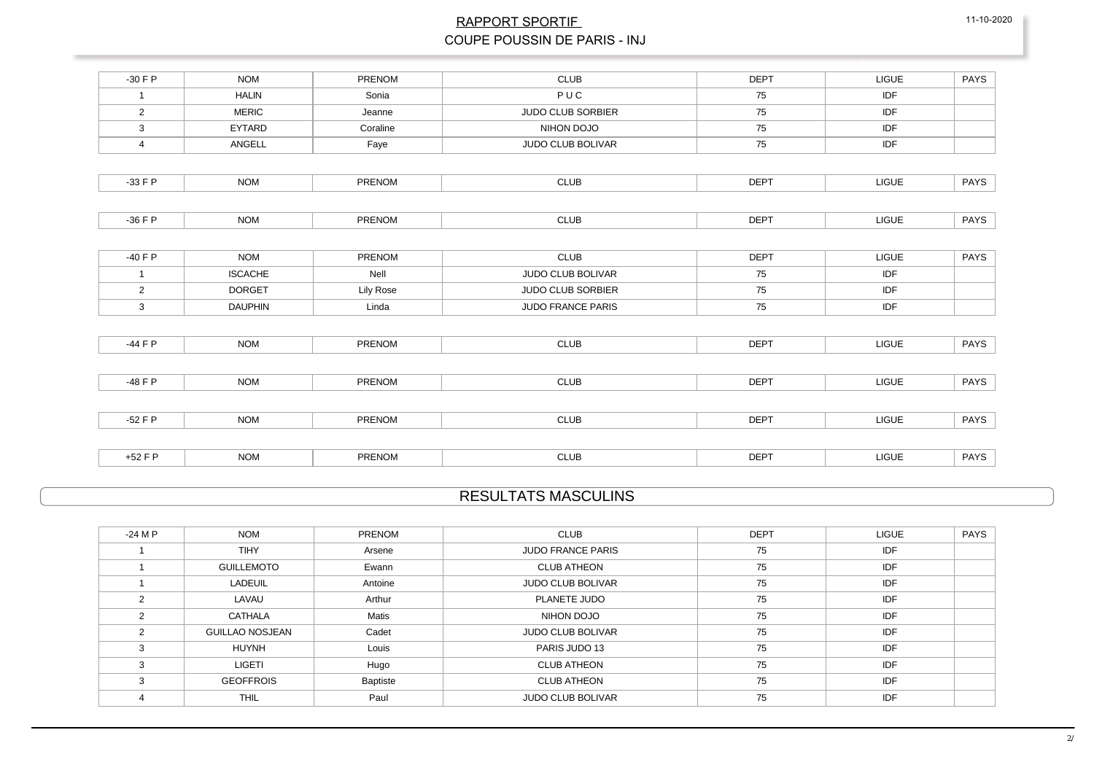| $-30$ F P      | <b>NOM</b>     | <b>PRENOM</b> | <b>CLUB</b>              | <b>DEPT</b> | <b>LIGUE</b> | <b>PAYS</b> |
|----------------|----------------|---------------|--------------------------|-------------|--------------|-------------|
| $\mathbf{1}$   | <b>HALIN</b>   | Sonia         | PUC                      | 75          | IDF          |             |
| $\overline{2}$ | <b>MERIC</b>   | Jeanne        | <b>JUDO CLUB SORBIER</b> | 75          | IDF          |             |
| $\mathbf{3}$   | EYTARD         | Coraline      | NIHON DOJO               | 75          | IDF          |             |
| $\overline{4}$ | ANGELL         | Faye          | JUDO CLUB BOLIVAR        | 75          | <b>IDF</b>   |             |
|                |                |               |                          |             |              |             |
| $-33 F P$      | <b>NOM</b>     | PRENOM        | <b>CLUB</b>              | <b>DEPT</b> | LIGUE        | PAYS        |
|                |                |               |                          |             |              |             |
| $-36$ F P      | <b>NOM</b>     | PRENOM        | <b>CLUB</b>              | <b>DEPT</b> | <b>LIGUE</b> | PAYS        |
|                |                |               |                          |             |              |             |
| $-40$ F P      | <b>NOM</b>     | PRENOM        | <b>CLUB</b>              | <b>DEPT</b> | <b>LIGUE</b> | PAYS        |
| $\mathbf{1}$   | <b>ISCACHE</b> | Nell          | JUDO CLUB BOLIVAR        | 75          | IDF          |             |
| $\overline{2}$ | <b>DORGET</b>  | Lily Rose     | <b>JUDO CLUB SORBIER</b> | 75          | IDF          |             |
| 3              | <b>DAUPHIN</b> | Linda         | JUDO FRANCE PARIS        | 75          | IDF          |             |
|                |                |               |                          |             |              |             |
| $-44$ F P      | <b>NOM</b>     | PRENOM        | <b>CLUB</b>              | <b>DEPT</b> | <b>LIGUE</b> | PAYS        |
|                |                |               |                          |             |              |             |
| -48 F P        | <b>NOM</b>     | PRENOM        | <b>CLUB</b>              | <b>DEPT</b> | <b>LIGUE</b> | PAYS        |
|                |                |               |                          |             |              |             |
| $-52$ F P      | <b>NOM</b>     | PRENOM        | <b>CLUB</b>              | <b>DEPT</b> | <b>LIGUE</b> | PAYS        |
|                |                |               |                          |             |              |             |
| $+52$ F P      | <b>NOM</b>     | PRENOM        | <b>CLUB</b>              | <b>DEPT</b> | <b>LIGUE</b> | PAYS        |

# RESULTATS MASCULINS

| $-24$ M P      | <b>NOM</b>             | <b>PRENOM</b> | <b>CLUB</b>              | <b>DEPT</b> | <b>LIGUE</b> | <b>PAYS</b> |
|----------------|------------------------|---------------|--------------------------|-------------|--------------|-------------|
|                | <b>TIHY</b>            | Arsene        | <b>JUDO FRANCE PARIS</b> | 75          | IDF          |             |
|                | <b>GUILLEMOTO</b>      | Ewann         | <b>CLUB ATHEON</b>       | 75          | IDF          |             |
|                | LADEUIL                | Antoine       | <b>JUDO CLUB BOLIVAR</b> | 75          | <b>IDF</b>   |             |
|                | LAVAU                  | Arthur        | PLANETE JUDO             | 75          | <b>IDF</b>   |             |
| $\mathfrak{p}$ | CATHALA                | Matis         | NIHON DOJO               | 75          | IDF          |             |
| C              | <b>GUILLAO NOSJEAN</b> | Cadet         | <b>JUDO CLUB BOLIVAR</b> | 75          | IDF          |             |
|                | <b>HUYNH</b>           | Louis         | PARIS JUDO 13            | 75          | IDF          |             |
| 3              | LIGETI                 | Hugo          | <b>CLUB ATHEON</b>       | 75          | IDF          |             |
| 3              | <b>GEOFFROIS</b>       | Baptiste      | <b>CLUB ATHEON</b>       | 75          | IDF          |             |
| 4              | <b>THIL</b>            | Paul          | <b>JUDO CLUB BOLIVAR</b> | 75          | IDF          |             |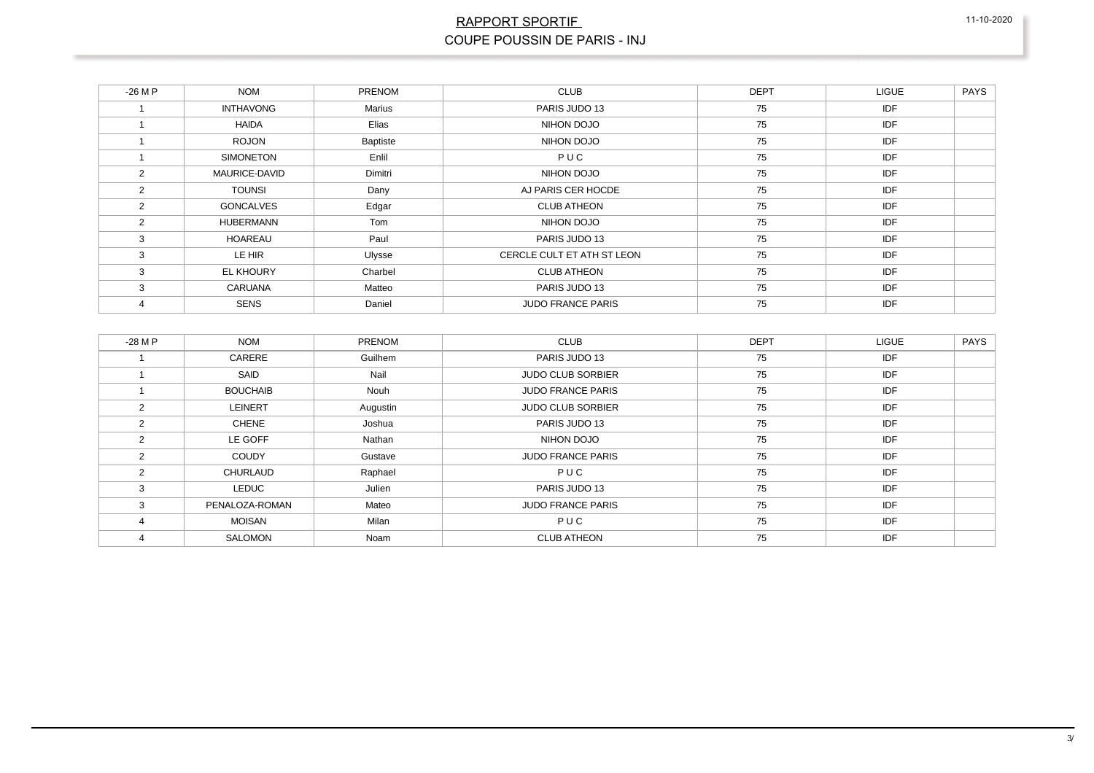| $-26MP$ | <b>NOM</b>       | <b>PRENOM</b> | <b>CLUB</b>                | <b>DEPT</b> | <b>LIGUE</b> | <b>PAYS</b> |
|---------|------------------|---------------|----------------------------|-------------|--------------|-------------|
|         | <b>INTHAVONG</b> | Marius        | PARIS JUDO 13              | 75          | IDF          |             |
|         | HAIDA            | Elias         | NIHON DOJO                 | 75          | IDF          |             |
|         | <b>ROJON</b>     | Baptiste      | NIHON DOJO                 | 75          | IDF          |             |
|         | <b>SIMONETON</b> | Enlil         | PUC                        | 75          | <b>IDF</b>   |             |
| 2       | MAURICE-DAVID    | Dimitri       | NIHON DOJO                 | 75          | IDF          |             |
| 2       | <b>TOUNSI</b>    | Dany          | AJ PARIS CER HOCDE         | 75          | IDF          |             |
| 2       | <b>GONCALVES</b> | Edgar         | <b>CLUB ATHEON</b>         | 75          | IDF          |             |
| 2       | <b>HUBERMANN</b> | Tom           | NIHON DOJO                 | 75          | IDF          |             |
| 3       | <b>HOAREAU</b>   | Paul          | PARIS JUDO 13              | 75          | IDF          |             |
| 3       | LE HIR           | Ulysse        | CERCLE CULT ET ATH ST LEON | 75          | IDF          |             |
| 3       | EL KHOURY        | Charbel       | <b>CLUB ATHEON</b>         | 75          | IDF          |             |
| 3       | <b>CARUANA</b>   | Matteo        | PARIS JUDO 13              | 75          | IDF          |             |
| 4       | <b>SENS</b>      | Daniel        | <b>JUDO FRANCE PARIS</b>   | 75          | IDF          |             |

| $-28$ M P     | <b>NOM</b>      | <b>PRENOM</b> | <b>CLUB</b>              | <b>DEPT</b> | <b>LIGUE</b> | <b>PAYS</b> |
|---------------|-----------------|---------------|--------------------------|-------------|--------------|-------------|
|               | CARERE          | Guilhem       | PARIS JUDO 13            | 75          | IDF          |             |
|               | SAID            | Nail          | <b>JUDO CLUB SORBIER</b> | 75          | <b>IDF</b>   |             |
|               | <b>BOUCHAIB</b> | Nouh          | <b>JUDO FRANCE PARIS</b> | 75          | IDF          |             |
| $\mathcal{P}$ | <b>LEINERT</b>  | Augustin      | <b>JUDO CLUB SORBIER</b> | 75          | IDF          |             |
| $\mathcal{P}$ | CHENE           | Joshua        | PARIS JUDO 13            | 75          | IDF          |             |
| $\mathcal{P}$ | LE GOFF         | Nathan        | NIHON DOJO               | 75          | <b>IDF</b>   |             |
| $\mathcal{P}$ | <b>COUDY</b>    | Gustave       | <b>JUDO FRANCE PARIS</b> | 75          | IDF          |             |
| $\mathcal{P}$ | CHURLAUD        | Raphael       | PUC                      | 75          | IDF          |             |
| 3             | LEDUC           | Julien        | PARIS JUDO 13            | 75          | IDF          |             |
| 3             | PENALOZA-ROMAN  | Mateo         | <b>JUDO FRANCE PARIS</b> | 75          | <b>IDF</b>   |             |
|               | <b>MOISAN</b>   | Milan         | PUC                      | 75          | IDF          |             |
|               | SALOMON         | Noam          | <b>CLUB ATHEON</b>       | 75          | <b>IDF</b>   |             |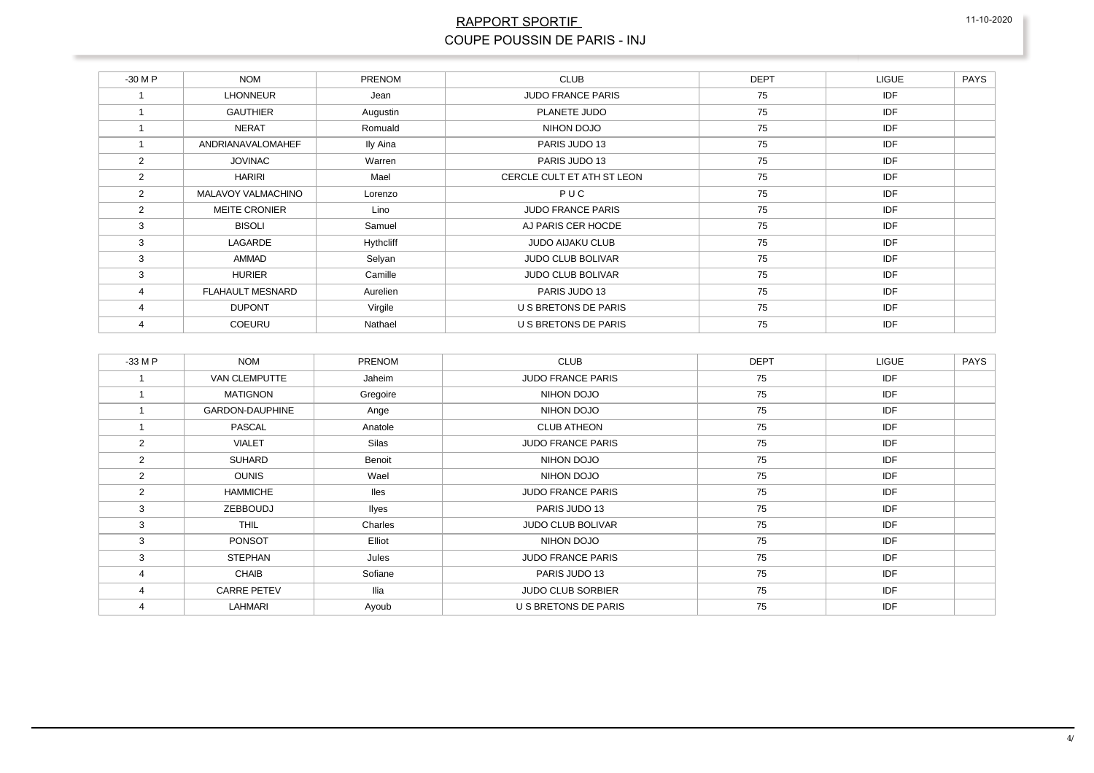#### RAPPORT SPORTIE COUPE POUSSIN DE PARIS - INJ

| $-30$ M P | <b>NOM</b>                | <b>PRENOM</b> | <b>CLUB</b>                 | <b>DEPT</b> | <b>LIGUE</b> | <b>PAYS</b> |
|-----------|---------------------------|---------------|-----------------------------|-------------|--------------|-------------|
|           | <b>LHONNEUR</b>           | Jean          | <b>JUDO FRANCE PARIS</b>    | 75          | <b>IDF</b>   |             |
|           | <b>GAUTHIER</b>           | Augustin      | PLANETE JUDO                | 75          | IDF          |             |
|           | <b>NERAT</b>              | Romuald       | NIHON DOJO                  | 75          | <b>IDF</b>   |             |
|           | ANDRIANAVALOMAHEF         | Ily Aina      | PARIS JUDO 13               | 75          | IDF          |             |
| 2         | <b>JOVINAC</b>            | Warren        | PARIS JUDO 13               | 75          | IDF          |             |
| 2         | <b>HARIRI</b>             | Mael          | CERCLE CULT ET ATH ST LEON  | 75          | IDF          |             |
| 2         | <b>MALAVOY VALMACHINO</b> | Lorenzo       | PUC                         | 75          | IDF          |             |
| 2         | <b>MEITE CRONIER</b>      | Lino          | <b>JUDO FRANCE PARIS</b>    | 75          | IDF          |             |
| 3         | <b>BISOLI</b>             | Samuel        | AJ PARIS CER HOCDE          | 75          | IDF          |             |
| 3         | LAGARDE                   | Hythcliff     | <b>JUDO AIJAKU CLUB</b>     | 75          | <b>IDF</b>   |             |
| 3         | AMMAD                     | Selyan        | <b>JUDO CLUB BOLIVAR</b>    | 75          | IDF          |             |
| 3         | <b>HURIER</b>             | Camille       | <b>JUDO CLUB BOLIVAR</b>    | 75          | IDF          |             |
| 4         | <b>FLAHAULT MESNARD</b>   | Aurelien      | PARIS JUDO 13               | 75          | IDF          |             |
| 4         | <b>DUPONT</b>             | Virgile       | U S BRETONS DE PARIS        | 75          | IDF          |             |
| 4         | <b>COEURU</b>             | Nathael       | <b>U S BRETONS DE PARIS</b> | 75          | IDF          |             |

| $-33$ M P | <b>NOM</b>         | <b>PRENOM</b> | <b>CLUB</b>              | <b>DEPT</b> | <b>LIGUE</b> | <b>PAYS</b> |
|-----------|--------------------|---------------|--------------------------|-------------|--------------|-------------|
|           | VAN CLEMPUTTE      | Jaheim        | <b>JUDO FRANCE PARIS</b> | 75          | <b>IDF</b>   |             |
|           | <b>MATIGNON</b>    | Gregoire      | NIHON DOJO               | 75          | <b>IDF</b>   |             |
|           | GARDON-DAUPHINE    | Ange          | NIHON DOJO               | 75          | IDF          |             |
|           | <b>PASCAL</b>      | Anatole       | <b>CLUB ATHEON</b>       | 75          | <b>IDF</b>   |             |
| 2         | <b>VIALET</b>      | Silas         | <b>JUDO FRANCE PARIS</b> | 75          | IDF          |             |
| 2         | <b>SUHARD</b>      | Benoit        | NIHON DOJO               | 75          | <b>IDF</b>   |             |
| 2         | <b>OUNIS</b>       | Wael          | NIHON DOJO               | 75          | <b>IDF</b>   |             |
| 2         | <b>HAMMICHE</b>    | <b>lles</b>   | <b>JUDO FRANCE PARIS</b> | 75          | <b>IDF</b>   |             |
| 3         | ZEBBOUDJ           | llyes         | PARIS JUDO 13            | 75          | <b>IDF</b>   |             |
| 3         | <b>THIL</b>        | Charles       | <b>JUDO CLUB BOLIVAR</b> | 75          | <b>IDF</b>   |             |
| 3         | PONSOT             | Elliot        | NIHON DOJO               | 75          | IDF          |             |
| 3         | <b>STEPHAN</b>     | Jules         | <b>JUDO FRANCE PARIS</b> | 75          | IDF          |             |
| 4         | <b>CHAIB</b>       | Sofiane       | PARIS JUDO 13            | 75          | IDF          |             |
|           | <b>CARRE PETEV</b> | llia          | <b>JUDO CLUB SORBIER</b> | 75          | <b>IDF</b>   |             |
|           | <b>LAHMARI</b>     | Ayoub         | U S BRETONS DE PARIS     | 75          | <b>IDF</b>   |             |